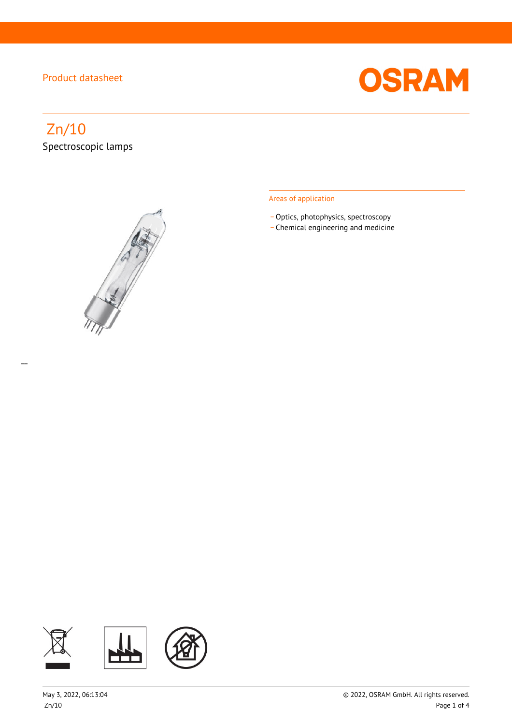

# Zn/10 Spectroscopic lamps

 $\overline{a}$ 



#### Areas of application

- Optics, photophysics, spectroscopy
- \_ Chemical engineering and medicine

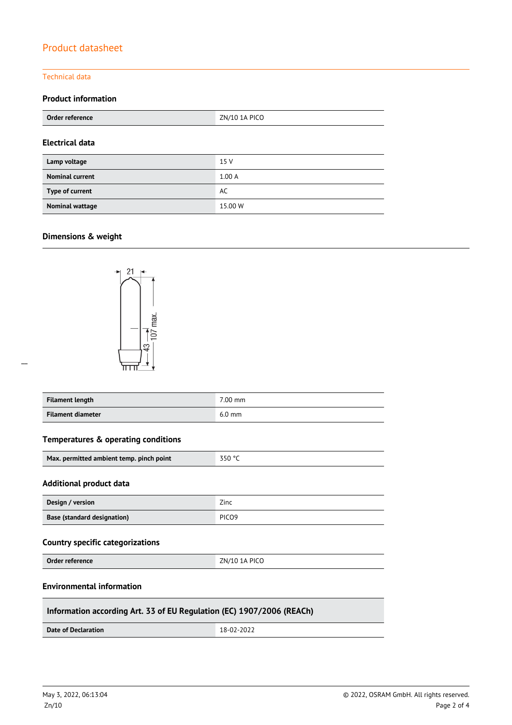#### Technical data

#### **Product information**

| Order reference        | ZN/10 1A PICO |  |  |
|------------------------|---------------|--|--|
| <b>Electrical data</b> |               |  |  |
| Lamp voltage           | 15 V          |  |  |
| <b>Nominal current</b> | 1.00A         |  |  |
| Type of current        | AC            |  |  |
| <b>Nominal wattage</b> | 15.00 W       |  |  |

### **Dimensions & weight**



 $\overline{a}$ 

| <b>Filament length</b> | 7.00 mm  |
|------------------------|----------|
| Filament diameter      | $6.0$ mm |

#### **Temperatures & operating conditions**

| 350 °C<br>Max. permitted ambient temp. pinch point |
|----------------------------------------------------|
|----------------------------------------------------|

#### **Additional product data**

| Design / version                   | Zinc              |
|------------------------------------|-------------------|
| <b>Base (standard designation)</b> | PICO <sub>9</sub> |

#### **Country specific categorizations**

**Order reference** ZN/10 1A PICO

#### **Environmental information**

#### **Information according Art. 33 of EU Regulation (EC) 1907/2006 (REACh)**

**Date of Declaration** 18-02-2022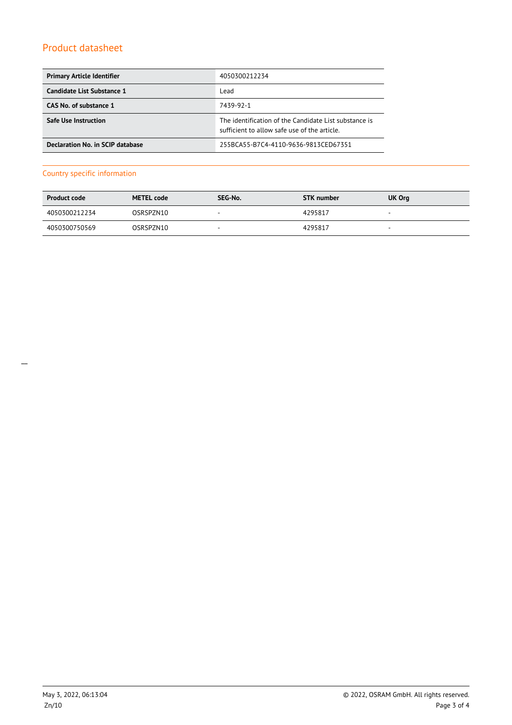| <b>Primary Article Identifier</b> | 4050300212234                                                                                         |  |
|-----------------------------------|-------------------------------------------------------------------------------------------------------|--|
| Candidate List Substance 1        | Lead                                                                                                  |  |
| CAS No. of substance 1            | 7439-92-1                                                                                             |  |
| <b>Safe Use Instruction</b>       | The identification of the Candidate List substance is<br>sufficient to allow safe use of the article. |  |
| Declaration No. in SCIP database  | 255BCA55-B7C4-4110-9636-9813CED67351                                                                  |  |

#### Country specific information

| <b>Product code</b> | <b>METEL code</b> | SEG-No.                  | <b>STK</b> number | UK Org                   |
|---------------------|-------------------|--------------------------|-------------------|--------------------------|
| 4050300212234       | OSRSPZN10         | . .                      | 4295817           | $\overline{\phantom{a}}$ |
| 4050300750569       | OSRSPZN10         | $\overline{\phantom{a}}$ | 4295817           | $\overline{\phantom{a}}$ |